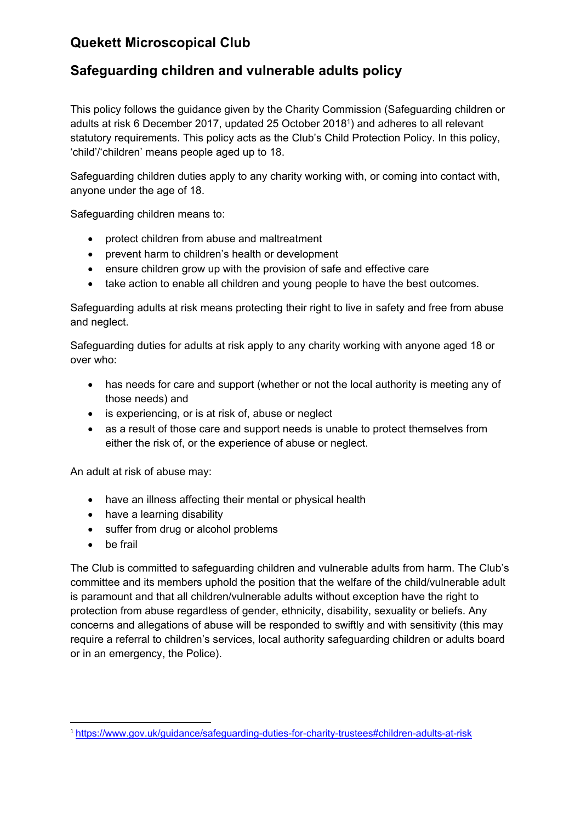# **Quekett Microscopical Club**

## **Safeguarding children and vulnerable adults policy**

This policy follows the guidance given by the Charity Commission (Safeguarding children or adults at risk 6 December 2017, updated 25 October 20181) and adheres to all relevant statutory requirements. This policy acts as the Club's Child Protection Policy. In this policy, 'child'/'children' means people aged up to 18.

Safeguarding children duties apply to any charity working with, or coming into contact with, anyone under the age of 18.

Safeguarding children means to:

- protect children from abuse and maltreatment
- prevent harm to children's health or development
- ensure children grow up with the provision of safe and effective care
- take action to enable all children and young people to have the best outcomes.

Safeguarding adults at risk means protecting their right to live in safety and free from abuse and neglect.

Safeguarding duties for adults at risk apply to any charity working with anyone aged 18 or over who:

- has needs for care and support (whether or not the local authority is meeting any of those needs) and
- is experiencing, or is at risk of, abuse or neglect
- as a result of those care and support needs is unable to protect themselves from either the risk of, or the experience of abuse or neglect.

An adult at risk of abuse may:

- have an illness affecting their mental or physical health
- have a learning disability
- suffer from drug or alcohol problems
- be frail

The Club is committed to safeguarding children and vulnerable adults from harm. The Club's committee and its members uphold the position that the welfare of the child/vulnerable adult is paramount and that all children/vulnerable adults without exception have the right to protection from abuse regardless of gender, ethnicity, disability, sexuality or beliefs. Any concerns and allegations of abuse will be responded to swiftly and with sensitivity (this may require a referral to children's services, local authority safeguarding children or adults board or in an emergency, the Police).

 <sup>1</sup> https://www.gov.uk/guidance/safeguarding-duties-for-charity-trustees#children-adults-at-risk